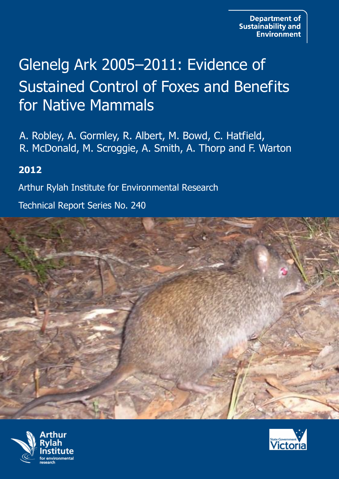# Glenelg Ark 2005–2011: Evidence of Sustained Control of Foxes and Benefits for Native Mammals

A. Robley, A. Gormley, R. Albert, M. Bowd, C. Hatfield, R. McDonald, M. Scroggie, A. Smith, A. Thorp and F. Warton

## **2012**

Arthur Rylah Institute for Environmental Research

Technical Report Series No. 240





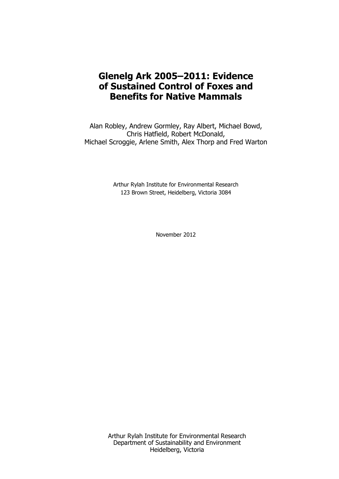## **Glenelg Ark 2005–2011: Evidence of Sustained Control of Foxes and Benefits for Native Mammals**

Alan Robley, Andrew Gormley, Ray Albert, Michael Bowd, Chris Hatfield, Robert McDonald, Michael Scroggie, Arlene Smith, Alex Thorp and Fred Warton

> Arthur Rylah Institute for Environmental Research 123 Brown Street, Heidelberg, Victoria 3084

> > November 2012

Arthur Rylah Institute for Environmental Research Department of Sustainability and Environment Heidelberg, Victoria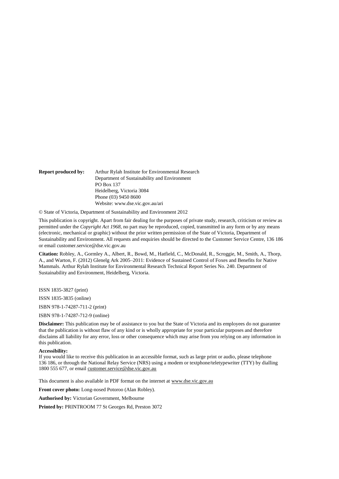| <b>Report produced by:</b> | Arthur Rylah Institute for Environmental Research |
|----------------------------|---------------------------------------------------|
|                            | Department of Sustainability and Environment      |
|                            | PO Box 137                                        |
|                            | Heidelberg, Victoria 3084                         |
|                            | Phone (03) 9450 8600                              |
|                            | Website: www.dse.vic.gov.au/ari                   |

© State of Victoria, Department of Sustainability and Environment 2012

This publication is copyright. Apart from fair dealing for the purposes of private study, research, criticism or review as permitted under the *Copyright Act 1968*, no part may be reproduced, copied, transmitted in any form or by any means (electronic, mechanical or graphic) without the prior written permission of the State of Victoria, Department of Sustainability and Environment. All requests and enquiries should be directed to the Customer Service Centre, 136 186 or email customer.service@dse.vic.gov.au

**Citation:** Robley, A., Gormley A., Albert, R., Bowd, M., Hatfield, C., McDonald, R., Scroggie, M., Smith, A., Thorp, A., and Warton, F. (2012) Glenelg Ark 2005–2011: Evidence of Sustained Control of Foxes and Benefits for Native Mammals. Arthur Rylah Institute for Environmental Research Technical Report Series No. 240. Department of Sustainability and Environment, Heidelberg, Victoria.

ISSN 1835-3827 (print)

ISSN 1835-3835 (online)

ISBN 978-1-74287-711-2 (print)

ISBN 978-1-74287-712-9 (online)

**Disclaimer:** This publication may be of assistance to you but the State of Victoria and its employees do not guarantee that the publication is without flaw of any kind or is wholly appropriate for your particular purposes and therefore disclaims all liability for any error, loss or other consequence which may arise from you relying on any information in this publication.

#### **Accessibility:**

If you would like to receive this publication in an accessible format, such as large print or audio, please telephone 136 186, or through the National Relay Service (NRS) using a modem or textphone/teletypewriter (TTY) by dialling 1800 555 677, or email [customer.service@dse.vic.gov.au](mailto:customer.service@dse.vic.gov.au)

This document is also available in PDF format on the internet at www.dse.vic.gov.au

**Front cover photo:** Long-nosed Potoroo (Alan Robley).

**Authorised by:** Victorian Government, Melbourne

**Printed by:** PRINTROOM 77 St Georges Rd, Preston 3072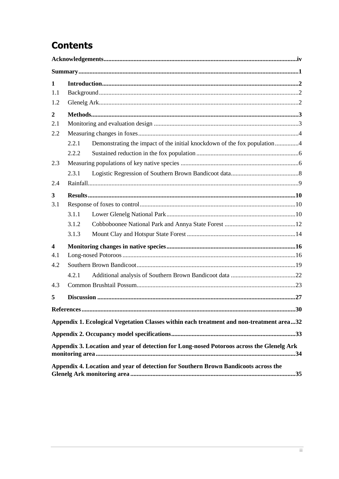## **Contents**

| $\mathbf{1}$            |                   |                                                                                           |  |
|-------------------------|-------------------|-------------------------------------------------------------------------------------------|--|
| 1.1                     |                   |                                                                                           |  |
| 1.2                     |                   |                                                                                           |  |
| $\boldsymbol{2}$        |                   |                                                                                           |  |
| 2.1                     |                   |                                                                                           |  |
| 2.2                     |                   |                                                                                           |  |
|                         | 2.2.1             | Demonstrating the impact of the initial knockdown of the fox population4                  |  |
|                         | 2.2.2             |                                                                                           |  |
| 2.3                     |                   |                                                                                           |  |
|                         | 2.3.1             |                                                                                           |  |
| 2.4                     |                   |                                                                                           |  |
| 3                       |                   |                                                                                           |  |
| 3.1                     |                   |                                                                                           |  |
|                         | 3.1.1             |                                                                                           |  |
|                         | 3.1.2             |                                                                                           |  |
|                         | 3.1.3             |                                                                                           |  |
| $\overline{\mathbf{4}}$ |                   |                                                                                           |  |
| 4.1                     |                   |                                                                                           |  |
| 4.2                     |                   |                                                                                           |  |
|                         | 4.2.1             |                                                                                           |  |
| 4.3                     |                   |                                                                                           |  |
| 5                       |                   |                                                                                           |  |
|                         | <b>References</b> | 30                                                                                        |  |
|                         |                   | Appendix 1. Ecological Vegetation Classes within each treatment and non-treatment area32  |  |
|                         |                   |                                                                                           |  |
|                         |                   | Appendix 3. Location and year of detection for Long-nosed Potoroos across the Glenelg Ark |  |
|                         |                   |                                                                                           |  |
|                         |                   | Appendix 4. Location and year of detection for Southern Brown Bandicoots across the       |  |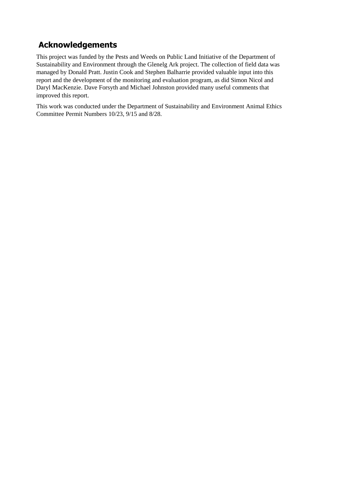## <span id="page-5-0"></span>**Acknowledgements**

This project was funded by the Pests and Weeds on Public Land Initiative of the Department of Sustainability and Environment through the Glenelg Ark project. The collection of field data was managed by Donald Pratt. Justin Cook and Stephen Balharrie provided valuable input into this report and the development of the monitoring and evaluation program, as did Simon Nicol and Daryl MacKenzie. Dave Forsyth and Michael Johnston provided many useful comments that improved this report.

This work was conducted under the Department of Sustainability and Environment Animal Ethics Committee Permit Numbers 10/23, 9/15 and 8/28.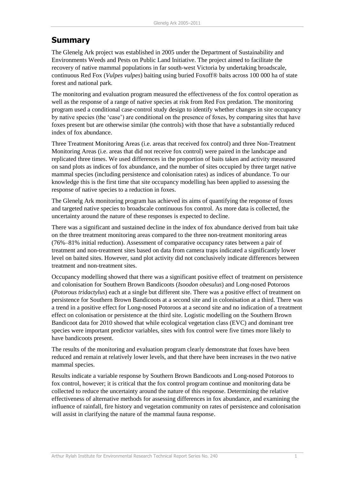## <span id="page-6-0"></span>**Summary**

The Glenelg Ark project was established in 2005 under the Department of Sustainability and Environments Weeds and Pests on Public Land Initiative. The project aimed to facilitate the recovery of native mammal populations in far south-west Victoria by undertaking broadscale, continuous Red Fox (*Vulpes vulpes*) baiting using buried Foxoff® baits across 100 000 ha of state forest and national park.

The monitoring and evaluation program measured the effectiveness of the fox control operation as well as the response of a range of native species at risk from Red Fox predation. The monitoring program used a conditional case-control study design to identify whether changes in site occupancy by native species (the 'case') are conditional on the presence of foxes, by comparing sites that have foxes present but are otherwise similar (the controls) with those that have a substantially reduced index of fox abundance.

Three Treatment Monitoring Areas (i.e. areas that received fox control) and three Non-Treatment Monitoring Areas (i.e. areas that did not receive fox control) were paired in the landscape and replicated three times. We used differences in the proportion of baits taken and activity measured on sand plots as indices of fox abundance, and the number of sites occupied by three target native mammal species (including persistence and colonisation rates) as indices of abundance. To our knowledge this is the first time that site occupancy modelling has been applied to assessing the response of native species to a reduction in foxes.

The Glenelg Ark monitoring program has achieved its aims of quantifying the response of foxes and targeted native species to broadscale continuous fox control. As more data is collected, the uncertainty around the nature of these responses is expected to decline.

There was a significant and sustained decline in the index of fox abundance derived from bait take on the three treatment monitoring areas compared to the three non-treatment monitoring areas (76%–81% initial reduction). Assessment of comparative occupancy rates between a pair of treatment and non-treatment sites based on data from camera traps indicated a significantly lower level on baited sites. However, sand plot activity did not conclusively indicate differences between treatment and non-treatment sites.

Occupancy modelling showed that there was a significant positive effect of treatment on persistence and colonisation for Southern Brown Bandicoots (*Isoodon obesulus*) and Long-nosed Potoroos (*Potorous tridactylus*) each at a single but different site. There was a positive effect of treatment on persistence for Southern Brown Bandicoots at a second site and in colonisation at a third. There was a trend in a positive effect for Long-nosed Potoroos at a second site and no indication of a treatment effect on colonisation or persistence at the third site. Logistic modelling on the Southern Brown Bandicoot data for 2010 showed that while ecological vegetation class (EVC) and dominant tree species were important predictor variables, sites with fox control were five times more likely to have bandicoots present.

The results of the monitoring and evaluation program clearly demonstrate that foxes have been reduced and remain at relatively lower levels, and that there have been increases in the two native mammal species.

Results indicate a variable response by Southern Brown Bandicoots and Long-nosed Potoroos to fox control, however; it is critical that the fox control program continue and monitoring data be collected to reduce the uncertainty around the nature of this response. Determining the relative effectiveness of alternative methods for assessing differences in fox abundance, and examining the influence of rainfall, fire history and vegetation community on rates of persistence and colonisation will assist in clarifying the nature of the mammal fauna response.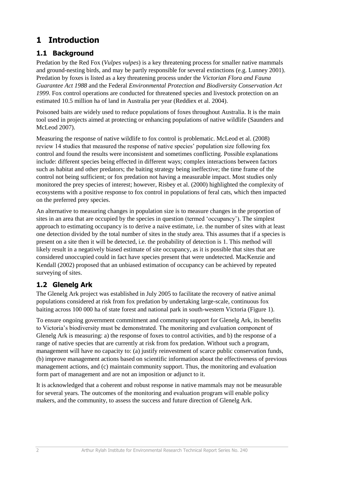## <span id="page-7-0"></span>**1 Introduction**

### <span id="page-7-1"></span>**1.1 Background**

Predation by the Red Fox (*Vulpes vulpes*) is a key threatening process for smaller native mammals and ground-nesting birds, and may be partly responsible for several extinctions (e.g. Lunney 2001). Predation by foxes is listed as a key threatening process under the *Victorian Flora and Fauna Guarantee Act 1988* and the Federal *Environmental Protection and Biodiversity Conservation Act 1999*. Fox control operations are conducted for threatened species and livestock protection on an estimated 10.5 million ha of land in Australia per year (Reddiex et al. 2004).

Poisoned baits are widely used to reduce populations of foxes throughout Australia. It is the main tool used in projects aimed at protecting or enhancing populations of native wildlife (Saunders and McLeod 2007).

Measuring the response of native wildlife to fox control is problematic. McLeod et al. (2008) review 14 studies that measured the response of native species' population size following fox control and found the results were inconsistent and sometimes conflicting. Possible explanations include: different species being effected in different ways; complex interactions between factors such as habitat and other predators; the baiting strategy being ineffective; the time frame of the control not being sufficient; or fox predation not having a measurable impact. Most studies only monitored the prey species of interest; however, Risbey et al. (2000) highlighted the complexity of ecosystems with a positive response to fox control in populations of feral cats, which then impacted on the preferred prey species.

An alternative to measuring changes in population size is to measure changes in the proportion of sites in an area that are occupied by the species in question (termed 'occupancy'). The simplest approach to estimating occupancy is to derive a naive estimate, i.e. the number of sites with at least one detection divided by the total number of sites in the study area. This assumes that if a species is present on a site then it will be detected, i.e. the probability of detection is 1. This method will likely result in a negatively biased estimate of site occupancy, as it is possible that sites that are considered unoccupied could in fact have species present that were undetected. MacKenzie and Kendall (2002) proposed that an unbiased estimation of occupancy can be achieved by repeated surveying of sites.

## <span id="page-7-2"></span>**1.2 Glenelg Ark**

The Glenelg Ark project was established in July 2005 to facilitate the recovery of native animal populations considered at risk from fox predation by undertaking large-scale, continuous fox baiting across 100 000 ha of state forest and national park in south-western Victoria (Figure 1).

To ensure ongoing government commitment and community support for Glenelg Ark, its benefits to Victoria's biodiversity must be demonstrated. The monitoring and evaluation component of Glenelg Ark is measuring: a) the response of foxes to control activities, and b) the response of a range of native species that are currently at risk from fox predation. Without such a program, management will have no capacity to: (a) justify reinvestment of scarce public conservation funds, (b) improve management actions based on scientific information about the effectiveness of previous management actions, and (c) maintain community support. Thus, the monitoring and evaluation form part of management and are not an imposition or adjunct to it.

It is acknowledged that a coherent and robust response in native mammals may not be measurable for several years. The outcomes of the monitoring and evaluation program will enable policy makers, and the community, to assess the success and future direction of Glenelg Ark.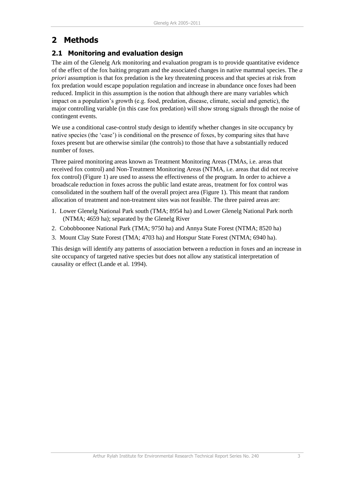## <span id="page-8-0"></span>**2 Methods**

### <span id="page-8-1"></span>**2.1 Monitoring and evaluation design**

The aim of the Glenelg Ark monitoring and evaluation program is to provide quantitative evidence of the effect of the fox baiting program and the associated changes in native mammal species. The *a priori* assumption is that fox predation is the key threatening process and that species at risk from fox predation would escape population regulation and increase in abundance once foxes had been reduced. Implicit in this assumption is the notion that although there are many variables which impact on a population's growth (e.g. food, predation, disease, climate, social and genetic), the major controlling variable (in this case fox predation) will show strong signals through the noise of contingent events.

We use a conditional case-control study design to identify whether changes in site occupancy by native species (the 'case') is conditional on the presence of foxes, by comparing sites that have foxes present but are otherwise similar (the controls) to those that have a substantially reduced number of foxes.

Three paired monitoring areas known as Treatment Monitoring Areas (TMAs, i.e. areas that received fox control) and Non-Treatment Monitoring Areas (NTMA, i.e. areas that did not receive fox control) (Figure 1) are used to assess the effectiveness of the program. In order to achieve a broadscale reduction in foxes across the public land estate areas, treatment for fox control was consolidated in the southern half of the overall project area (Figure 1). This meant that random allocation of treatment and non-treatment sites was not feasible. The three paired areas are:

- 1. Lower Glenelg National Park south (TMA; 8954 ha) and Lower Glenelg National Park north (NTMA; 4659 ha); separated by the Glenelg River
- 2. Cobobboonee National Park (TMA; 9750 ha) and Annya State Forest (NTMA; 8520 ha)
- 3. Mount Clay State Forest (TMA; 4703 ha) and Hotspur State Forest (NTMA; 6940 ha).

This design will identify any patterns of association between a reduction in foxes and an increase in site occupancy of targeted native species but does not allow any statistical interpretation of causality or effect (Lande et al. 1994).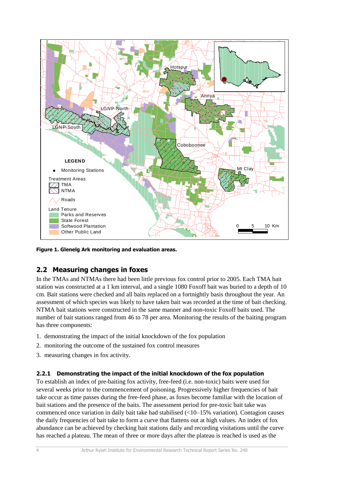

**Figure 1. Glenelg Ark monitoring and evaluation areas.**

### <span id="page-9-0"></span>**2.2 Measuring changes in foxes**

In the TMAs and NTMAs there had been little previous fox control prior to 2005. Each TMA bait station was constructed at a 1 km interval, and a single 1080 Foxoff bait was buried to a depth of 10 cm. Bait stations were checked and all baits replaced on a fortnightly basis throughout the year. An assessment of which species was likely to have taken bait was recorded at the time of bait checking. NTMA bait stations were constructed in the same manner and non-toxic Foxoff baits used. The number of bait stations ranged from 46 to 78 per area. Monitoring the results of the baiting program has three components:

- 1. demonstrating the impact of the initial knockdown of the fox population
- 2. monitoring the outcome of the sustained fox control measures
- 3. measuring changes in fox activity.

#### <span id="page-9-1"></span>**2.2.1 Demonstrating the impact of the initial knockdown of the fox population**

To establish an index of pre-baiting fox activity, free-feed (i.e. non-toxic) baits were used for several weeks prior to the commencement of poisoning. Progressively higher frequencies of bait take occur as time passes during the free-feed phase, as foxes become familiar with the location of bait stations and the presence of the baits. The assessment period for pre-toxic bait take was commenced once variation in daily bait take had stabilised (<10–15% variation). Contagion causes the daily frequencies of bait take to form a curve that flattens out at high values. An index of fox abundance can be achieved by checking bait stations daily and recording visitations until the curve has reached a plateau. The mean of three or more days after the plateau is reached is used as the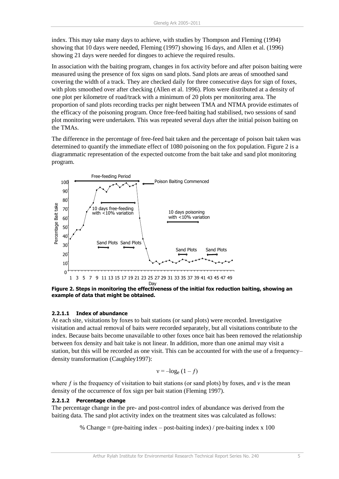index. This may take many days to achieve, with studies by Thompson and Fleming (1994) showing that 10 days were needed, Fleming (1997) showing 16 days, and Allen et al. (1996) showing 21 days were needed for dingoes to achieve the required results.

In association with the baiting program, changes in fox activity before and after poison baiting were measured using the presence of fox signs on sand plots. Sand plots are areas of smoothed sand covering the width of a track. They are checked daily for three consecutive days for sign of foxes, with plots smoothed over after checking (Allen et al. 1996). Plots were distributed at a density of one plot per kilometre of road/track with a minimum of 20 plots per monitoring area. The proportion of sand plots recording tracks per night between TMA and NTMA provide estimates of the efficacy of the poisoning program. Once free-feed baiting had stabilised, two sessions of sand plot monitoring were undertaken. This was repeated several days after the initial poison baiting on the TMAs.

The difference in the percentage of free-feed bait taken and the percentage of poison bait taken was determined to quantify the immediate effect of 1080 poisoning on the fox population. Figure 2 is a diagrammatic representation of the expected outcome from the bait take and sand plot monitoring program.



**Figure 2. Steps in monitoring the effectiveness of the initial fox reduction baiting, showing an example of data that might be obtained.** 

#### **2.2.1.1 Index of abundance**

At each site, visitations by foxes to bait stations (or sand plots) were recorded. Investigative visitation and actual removal of baits were recorded separately, but all visitations contribute to the index. Because baits become unavailable to other foxes once bait has been removed the relationship between fox density and bait take is not linear. In addition, more than one animal may visit a station, but this will be recorded as one visit. This can be accounted for with the use of a frequency– density transformation (Caughley1997):

$$
v = -\log_e(1 - f)
$$

where f is the frequency of visitation to bait stations (or sand plots) by foxes, and  $\nu$  is the mean density of the occurrence of fox sign per bait station (Fleming 1997).

#### **2.2.1.2 Percentage change**

The percentage change in the pre- and post-control index of abundance was derived from the baiting data. The sand plot activity index on the treatment sites was calculated as follows:

% Change = (pre-baiting index – post-baiting index) / pre-baiting index x 100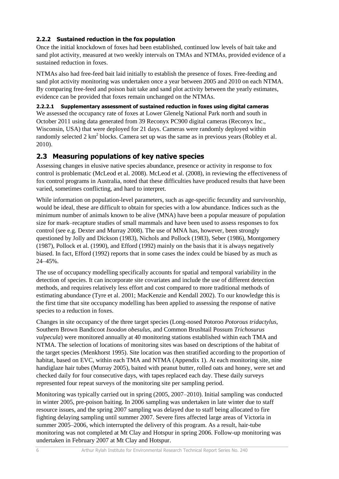#### <span id="page-11-0"></span>**2.2.2 Sustained reduction in the fox population**

Once the initial knockdown of foxes had been established, continued low levels of bait take and sand plot activity, measured at two weekly intervals on TMAs and NTMAs, provided evidence of a sustained reduction in foxes.

NTMAs also had free-feed bait laid initially to establish the presence of foxes. Free-feeding and sand plot activity monitoring was undertaken once a year between 2005 and 2010 on each NTMA. By comparing free-feed and poison bait take and sand plot activity between the yearly estimates, evidence can be provided that foxes remain unchanged on the NTMAs.

#### **2.2.2.1 Supplementary assessment of sustained reduction in foxes using digital cameras**

We assessed the occupancy rate of foxes at Lower Glenelg National Park north and south in October 2011 using data generated from 39 Reconyx PC900 digital cameras (Reconyx Inc., Wisconsin, USA) that were deployed for 21 days. Cameras were randomly deployed within randomly selected 2  $km^2$  blocks. Camera set up was the same as in previous years (Robley et al. 2010).

### <span id="page-11-1"></span>**2.3 Measuring populations of key native species**

Assessing changes in elusive native species abundance, presence or activity in response to fox control is problematic (McLeod et al. 2008). McLeod et al. (2008), in reviewing the effectiveness of fox control programs in Australia, noted that these difficulties have produced results that have been varied, sometimes conflicting, and hard to interpret.

While information on population-level parameters, such as age-specific fecundity and survivorship, would be ideal, these are difficult to obtain for species with a low abundance. Indices such as the minimum number of animals known to be alive (MNA) have been a popular measure of population size for mark–recapture studies of small mammals and have been used to assess responses to fox control (see e.g. Dexter and Murray 2008). The use of MNA has, however, been strongly questioned by Jolly and Dickson (1983), Nichols and Pollock (1983), Seber (1986), Montgomery (1987), Pollock et al. (1990), and Efford (1992) mainly on the basis that it is always negatively biased. In fact, Efford (1992) reports that in some cases the index could be biased by as much as 24–45%.

The use of occupancy modelling specifically accounts for spatial and temporal variability in the detection of species. It can incorporate site covariates and include the use of different detection methods, and requires relatively less effort and cost compared to more traditional methods of estimating abundance (Tyre et al. 2001; MacKenzie and Kendall 2002). To our knowledge this is the first time that site occupancy modelling has been applied to assessing the response of native species to a reduction in foxes.

Changes in site occupancy of the three target species (Long-nosed Potoroo *Potorous tridactylus*, Southern Brown Bandicoot *Isoodon obesulus*, and Common Brushtail Possum *Trichosurus vulpecula*) were monitored annually at 40 monitoring stations established within each TMA and NTMA. The selection of locations of monitoring sites was based on descriptions of the habitat of the target species (Menkhorst 1995). Site location was then stratified according to the proportion of habitat, based on EVC, within each TMA and NTMA (Appendix 1). At each monitoring site, nine handiglaze hair tubes (Murray 2005), baited with peanut butter, rolled oats and honey, were set and checked daily for four consecutive days, with tapes replaced each day. These daily surveys represented four repeat surveys of the monitoring site per sampling period.

Monitoring was typically carried out in spring (2005, 2007–2010). Initial sampling was conducted in winter 2005, pre-poison baiting. In 2006 sampling was undertaken in late winter due to staff resource issues, and the spring 2007 sampling was delayed due to staff being allocated to fire fighting delaying sampling until summer 2007. Severe fires affected large areas of Victoria in summer 2005–2006, which interrupted the delivery of this program. As a result, hair-tube monitoring was not completed at Mt Clay and Hotspur in spring 2006. Follow-up monitoring was undertaken in February 2007 at Mt Clay and Hotspur.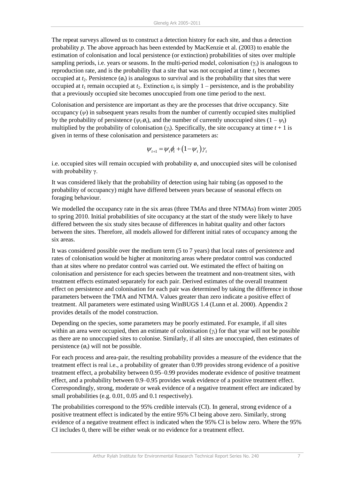The repeat surveys allowed us to construct a detection history for each site, and thus a detection probability *p*. The above approach has been extended by MacKenzie et al. (2003) to enable the estimation of colonisation and local persistence (or extinction) probabilities of sites over multiple sampling periods, i.e. years or seasons. In the multi-period model, colonisation (γ*t*) is analogous to reproduction rate, and is the probability that a site that was not occupied at time  $t_1$  becomes occupied at  $t_2$ . Persistence  $(\emptyset_i)$  is analogous to survival and is the probability that sites that were occupied at  $t_1$  remain occupied at  $t_2$ . Extinction  $\varepsilon_t$  is simply 1 – persistence, and is the probability that a previously occupied site becomes unoccupied from one time period to the next.

Colonisation and persistence are important as they are the processes that drive occupancy. Site occupancy  $(\psi)$  in subsequent years results from the number of currently occupied sites multiplied by the probability of persistence ( $\psi_t$   $\phi_t$ ), and the number of currently unoccupied sites  $(1 - \psi_t)$ multiplied by the probability of colonisation  $(y_t)$ . Specifically, the site occupancy at time  $t + 1$  is given in terms of these colonisation and persistence parameters as:

$$
\psi_{t+1} = \psi_t \phi_t + (1 - \psi_t) \gamma_t
$$

i.e. occupied sites will remain occupied with probability  $\varphi$ , and unoccupied sites will be colonised with probability γ.

It was considered likely that the probability of detection using hair tubing (as opposed to the probability of occupancy) might have differed between years because of seasonal effects on foraging behaviour.

We modelled the occupancy rate in the six areas (three TMAs and three NTMAs) from winter 2005 to spring 2010. Initial probabilities of site occupancy at the start of the study were likely to have differed between the six study sites because of differences in habitat quality and other factors between the sites. Therefore, all models allowed for different initial rates of occupancy among the six areas.

It was considered possible over the medium term (5 to 7 years) that local rates of persistence and rates of colonisation would be higher at monitoring areas where predator control was conducted than at sites where no predator control was carried out. We estimated the effect of baiting on colonisation and persistence for each species between the treatment and non-treatment sites, with treatment effects estimated separately for each pair. Derived estimates of the overall treatment effect on persistence and colonisation for each pair was determined by taking the difference in those parameters between the TMA and NTMA. Values greater than zero indicate a positive effect of treatment. All parameters were estimated using WinBUGS 1.4 (Lunn et al. 2000). Appendix 2 provides details of the model construction.

Depending on the species, some parameters may be poorly estimated. For example, if all sites within an area were occupied, then an estimate of colonisation (*γt*) for that year will not be possible as there are no unoccupied sites to colonise. Similarly, if all sites are unoccupied, then estimates of persistence  $(\phi_t)$  will not be possible.

For each process and area-pair, the resulting probability provides a measure of the evidence that the treatment effect is real i.e., a probability of greater than 0.99 provides strong evidence of a positive treatment effect, a probability between 0.95–0.99 provides moderate evidence of positive treatment effect, and a probability between 0.9–0.95 provides weak evidence of a positive treatment effect. Correspondingly, strong, moderate or weak evidence of a negative treatment effect are indicated by small probabilities (e.g. 0.01, 0.05 and 0.1 respectively).

The probabilities correspond to the 95% credible intervals (CI). In general, strong evidence of a positive treatment effect is indicated by the entire 95% CI being above zero. Similarly, strong evidence of a negative treatment effect is indicated when the 95% CI is below zero. Where the 95% CI includes 0, there will be either weak or no evidence for a treatment effect.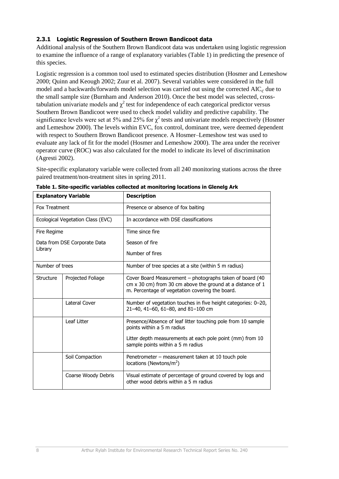#### <span id="page-13-0"></span>**2.3.1 Logistic Regression of Southern Brown Bandicoot data**

Additional analysis of the Southern Brown Bandicoot data was undertaken using logistic regression to examine the influence of a range of explanatory variables (Table 1) in predicting the presence of this species.

Logistic regression is a common tool used to estimated species distribution (Hosmer and Lemeshow 2000; Quinn and Keough 2002; Zuur et al*.* 2007). Several variables were considered in the full model and a backwards/forwards model selection was carried out using the corrected AIC*c* due to the small sample size (Burnham and Anderson 2010). Once the best model was selected, crosstabulation univariate models and  $\chi^2$  test for independence of each categorical predictor versus Southern Brown Bandicoot were used to check model validity and predictive capability. The significance levels were set at 5% and 25% for  $\chi^2$  tests and univariate models respectively (Hosmer and Lemeshow 2000). The levels within EVC, fox control, dominant tree, were deemed dependent with respect to Southern Brown Bandicoot presence. A Hosmer–Lemeshow test was used to evaluate any lack of fit for the model (Hosmer and Lemeshow 2000). The area under the receiver operator curve (ROC) was also calculated for the model to indicate its level of discrimination (Agresti 2002).

Site-specific explanatory variable were collected from all 240 monitoring stations across the three paired treatment/non-treatment sites in spring 2011.

| <b>Explanatory Variable</b>    |                                   | <b>Description</b>                                                                                                                                                        |  |
|--------------------------------|-----------------------------------|---------------------------------------------------------------------------------------------------------------------------------------------------------------------------|--|
| Fox Treatment                  |                                   | Presence or absence of fox baiting                                                                                                                                        |  |
|                                | Ecological Vegetation Class (EVC) | In accordance with DSE classifications                                                                                                                                    |  |
| Fire Regime                    |                                   | Time since fire                                                                                                                                                           |  |
|                                | Data from DSE Corporate Data      | Season of fire                                                                                                                                                            |  |
| Library                        |                                   | Number of fires                                                                                                                                                           |  |
| Number of trees                |                                   | Number of tree species at a site (within 5 m radius)                                                                                                                      |  |
| Structure<br>Projected Foliage |                                   | Cover Board Measurement – photographs taken of board (40<br>cm x 30 cm) from 30 cm above the ground at a distance of 1<br>m. Percentage of vegetation covering the board. |  |
|                                | Lateral Cover                     | Number of vegetation touches in five height categories: 0-20,<br>21-40, 41-60, 61-80, and 81-100 cm                                                                       |  |
|                                | Leaf Litter                       | Presence/Absence of leaf litter touching pole from 10 sample<br>points within a 5 m radius                                                                                |  |
|                                |                                   | Litter depth measurements at each pole point (mm) from 10<br>sample points within a 5 m radius                                                                            |  |
|                                | Soil Compaction                   | Penetrometer - measurement taken at 10 touch pole<br>locations (Newtons/ $m2$ )                                                                                           |  |
|                                | Coarse Woody Debris               | Visual estimate of percentage of ground covered by logs and<br>other wood debris within a 5 m radius                                                                      |  |

| Table 1. Site-specific variables collected at monitoring locations in Glenelg Ark |  |  |  |  |  |  |  |
|-----------------------------------------------------------------------------------|--|--|--|--|--|--|--|
|-----------------------------------------------------------------------------------|--|--|--|--|--|--|--|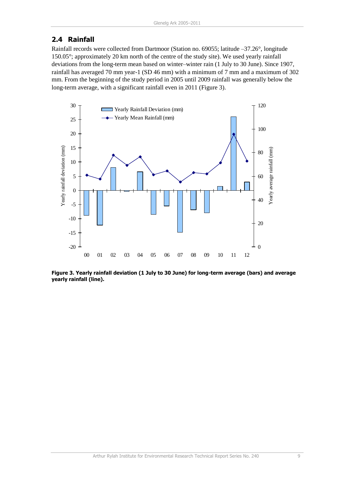### <span id="page-14-0"></span>**2.4 Rainfall**

Rainfall records were collected from Dartmoor (Station no. 69055; latitude –37.26°, longitude 150.05°; approximately 20 km north of the centre of the study site). We used yearly rainfall deviations from the long-term mean based on winter–winter rain (1 July to 30 June). Since 1907, rainfall has averaged 70 mm year-1 (SD 46 mm) with a minimum of 7 mm and a maximum of 302 mm. From the beginning of the study period in 2005 until 2009 rainfall was generally below the long-term average, with a significant rainfall even in 2011 (Figure 3).



**Figure 3. Yearly rainfall deviation (1 July to 30 June) for long-term average (bars) and average yearly rainfall (line).**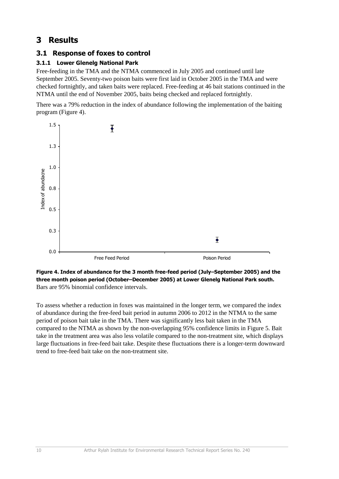## <span id="page-15-0"></span>**3 Results**

### <span id="page-15-1"></span>**3.1 Response of foxes to control**

#### <span id="page-15-2"></span>**3.1.1 Lower Glenelg National Park**

Free-feeding in the TMA and the NTMA commenced in July 2005 and continued until late September 2005. Seventy-two poison baits were first laid in October 2005 in the TMA and were checked fortnightly, and taken baits were replaced. Free-feeding at 46 bait stations continued in the NTMA until the end of November 2005, baits being checked and replaced fortnightly.

There was a 79% reduction in the index of abundance following the implementation of the baiting program (Figure 4).



**Figure 4. Index of abundance for the 3 month free-feed period (July–September 2005) and the three month poison period (October–December 2005) at Lower Glenelg National Park south.** Bars are 95% binomial confidence intervals.

To assess whether a reduction in foxes was maintained in the longer term, we compared the index of abundance during the free-feed bait period in autumn 2006 to 2012 in the NTMA to the same period of poison bait take in the TMA. There was significantly less bait taken in the TMA compared to the NTMA as shown by the non-overlapping 95% confidence limits in Figure 5. Bait take in the treatment area was also less volatile compared to the non-treatment site, which displays large fluctuations in free-feed bait take. Despite these fluctuations there is a longer-term downward trend to free-feed bait take on the non-treatment site.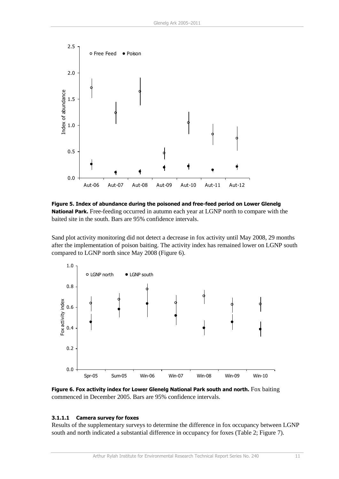

**Figure 5. Index of abundance during the poisoned and free-feed period on Lower Glenelg National Park.** Free-feeding occurred in autumn each year at LGNP north to compare with the baited site in the south. Bars are 95% confidence intervals.

Sand plot activity monitoring did not detect a decrease in fox activity until May 2008, 29 months after the implementation of poison baiting. The activity index has remained lower on LGNP south compared to LGNP north since May 2008 (Figure 6).



**Figure 6. Fox activity index for Lower Glenelg National Park south and north.** Fox baiting commenced in December 2005. Bars are 95% confidence intervals.

#### **3.1.1.1 Camera survey for foxes**

Results of the supplementary surveys to determine the difference in fox occupancy between LGNP south and north indicated a substantial difference in occupancy for foxes (Table 2; Figure 7).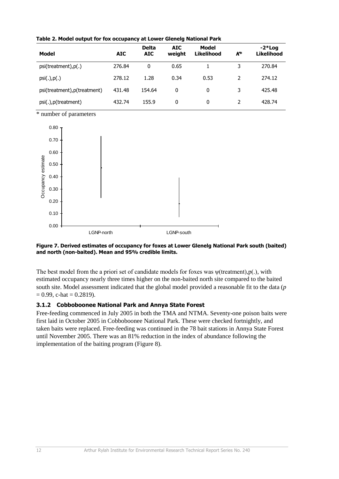| Model                        | <b>AIC</b> | <b>Delta</b><br><b>AIC</b> | AIC.<br>weight | Model<br><b>Likelihood</b> | $K^*$ | $-2*Log$<br><b>Likelihood</b> |
|------------------------------|------------|----------------------------|----------------|----------------------------|-------|-------------------------------|
| psi(treatment), p(.)         | 276.84     | 0                          | 0.65           |                            | 3     | 270.84                        |
| $psi(.)$ , $p(.)$            | 278.12     | 1.28                       | 0.34           | 0.53                       |       | 274.12                        |
| psi(treatment), p(treatment) | 431.48     | 154.64                     | 0              | $\mathbf{0}$               | 3     | 425.48                        |
| psi(.), p(treatment)         | 432.74     | 155.9                      | 0              | $\mathbf{0}$               |       | 428.74                        |

**Table 2. Model output for fox occupancy at Lower Glenelg National Park**

\* number of parameters



#### **Figure 7. Derived estimates of occupancy for foxes at Lower Glenelg National Park south (baited) and north (non-baited). Mean and 95% credible limits.**

The best model from the a priori set of candidate models for foxes was ψ(treatment),p(.), with estimated occupancy nearly three times higher on the non-baited north site compared to the baited south site. Model assessment indicated that the global model provided a reasonable fit to the data (*p*   $= 0.99$ , c-hat  $= 0.2819$ ).

#### <span id="page-17-0"></span>**3.1.2 Cobboboonee National Park and Annya State Forest**

Free-feeding commenced in July 2005 in both the TMA and NTMA. Seventy-one poison baits were first laid in October 2005 in Cobboboonee National Park. These were checked fortnightly, and taken baits were replaced. Free-feeding was continued in the 78 bait stations in Annya State Forest until November 2005. There was an 81% reduction in the index of abundance following the implementation of the baiting program (Figure 8).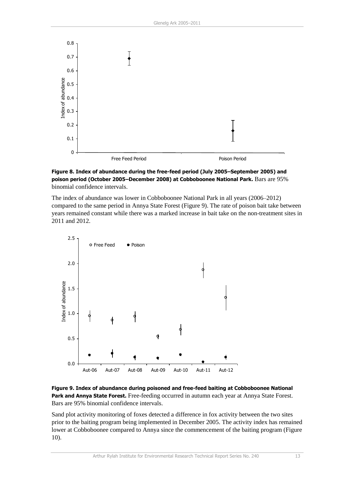

**Figure 8. Index of abundance during the free-feed period (July 2005–September 2005) and poison period (October 2005–December 2008) at Cobboboonee National Park.** Bars are 95% binomial confidence intervals.

The index of abundance was lower in Cobboboonee National Park in all years (2006–2012) compared to the same period in Annya State Forest (Figure 9). The rate of poison bait take between years remained constant while there was a marked increase in bait take on the non-treatment sites in 2011 and 2012.



**Figure 9. Index of abundance during poisoned and free-feed baiting at Cobboboonee National Park and Annya State Forest.** Free-feeding occurred in autumn each year at Annya State Forest. Bars are 95% binomial confidence intervals.

Sand plot activity monitoring of foxes detected a difference in fox activity between the two sites prior to the baiting program being implemented in December 2005. The activity index has remained lower at Cobboboonee compared to Annya since the commencement of the baiting program (Figure 10).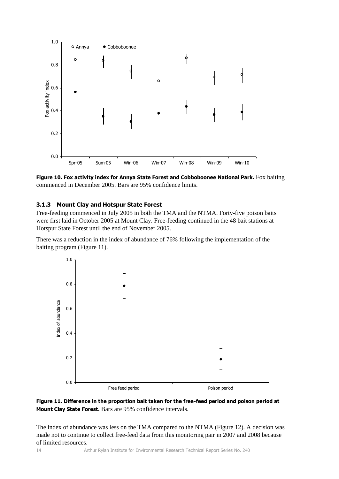

**Figure 10. Fox activity index for Annya State Forest and Cobboboonee National Park.** Fox baiting commenced in December 2005. Bars are 95% confidence limits.

#### <span id="page-19-0"></span>**3.1.3 Mount Clay and Hotspur State Forest**

Free-feeding commenced in July 2005 in both the TMA and the NTMA. Forty-five poison baits were first laid in October 2005 at Mount Clay. Free-feeding continued in the 48 bait stations at Hotspur State Forest until the end of November 2005.

There was a reduction in the index of abundance of 76% following the implementation of the baiting program (Figure 11).





The index of abundance was less on the TMA compared to the NTMA (Figure 12). A decision was made not to continue to collect free-feed data from this monitoring pair in 2007 and 2008 because of limited resources.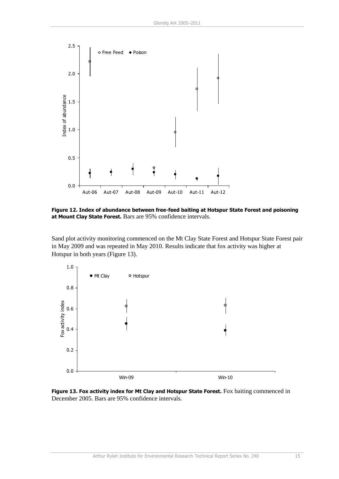

**Figure 12. Index of abundance between free-feed baiting at Hotspur State Forest and poisoning at Mount Clay State Forest.** Bars are 95% confidence intervals.

Sand plot activity monitoring commenced on the Mt Clay State Forest and Hotspur State Forest pair in May 2009 and was repeated in May 2010. Results indicate that fox activity was higher at Hotspur in both years (Figure 13).



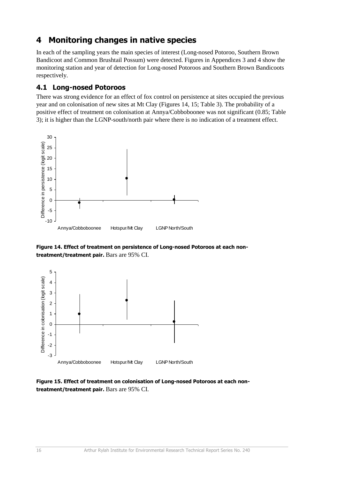## <span id="page-21-0"></span>**4 Monitoring changes in native species**

In each of the sampling years the main species of interest (Long-nosed Potoroo, Southern Brown Bandicoot and Common Brushtail Possum) were detected. Figures in Appendices 3 and 4 show the monitoring station and year of detection for Long-nosed Potoroos and Southern Brown Bandicoots respectively.

#### <span id="page-21-1"></span>**4.1 Long-nosed Potoroos**

There was strong evidence for an effect of fox control on persistence at sites occupied the previous year and on colonisation of new sites at Mt Clay (Figures 14, 15; Table 3). The probability of a positive effect of treatment on colonisation at Annya/Cobboboonee was not significant (0.85; Table 3); it is higher than the LGNP-south/north pair where there is no indication of a treatment effect.



**Figure 14. Effect of treatment on persistence of Long-nosed Potoroos at each nontreatment/treatment pair.** Bars are 95% CI.



**Figure 15. Effect of treatment on colonisation of Long-nosed Potoroos at each nontreatment/treatment pair.** Bars are 95% CI.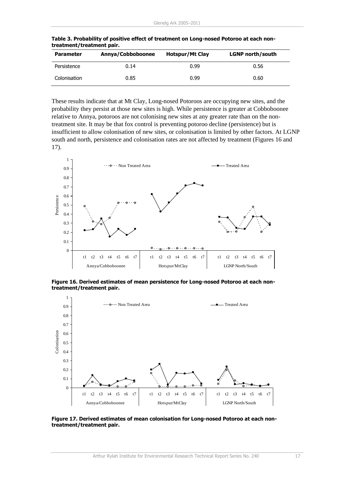| <b>Parameter</b> | Annya/Cobboboonee | <b>Hotspur/Mt Clay</b> | <b>LGNP</b> north/south |
|------------------|-------------------|------------------------|-------------------------|
| Persistence      | 0.14              | 0.99                   | 0.56                    |
| Colonisation     | 0.85              | 0.99                   | 0.60                    |

**Table 3. Probability of positive effect of treatment on Long-nosed Potoroo at each nontreatment/treatment pair.**

These results indicate that at Mt Clay, Long-nosed Potoroos are occupying new sites, and the probability they persist at those new sites is high. While persistence is greater at Cobboboonee relative to Annya, potoroos are not colonising new sites at any greater rate than on the nontreatment site. It may be that fox control is preventing potoroo decline (persistence) but is insufficient to allow colonisation of new sites, or colonisation is limited by other factors. At LGNP south and north, persistence and colonisation rates are not affected by treatment (Figures 16 and 17).



**Figure 16. Derived estimates of mean persistence for Long-nosed Potoroo at each nontreatment/treatment pair.** 



**Figure 17. Derived estimates of mean colonisation for Long-nosed Potoroo at each nontreatment/treatment pair.**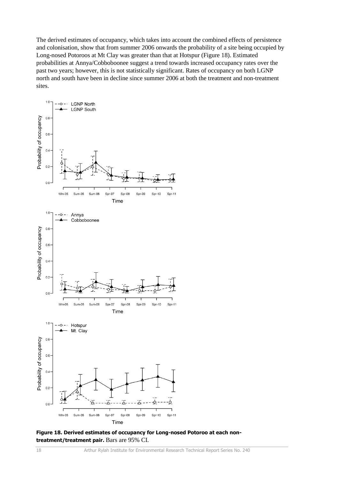The derived estimates of occupancy, which takes into account the combined effects of persistence and colonisation, show that from summer 2006 onwards the probability of a site being occupied by Long-nosed Potoroos at Mt Clay was greater than that at Hotspur (Figure 18). Estimated probabilities at Annya/Cobboboonee suggest a trend towards increased occupancy rates over the past two years; however, this is not statistically significant. Rates of occupancy on both LGNP north and south have been in decline since summer 2006 at both the treatment and non-treatment sites.



**Figure 18. Derived estimates of occupancy for Long-nosed Potoroo at each nontreatment/treatment pair.** Bars are 95% CI.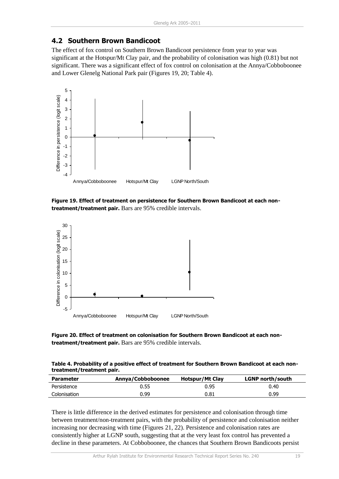#### <span id="page-24-0"></span>**4.2 Southern Brown Bandicoot**

The effect of fox control on Southern Brown Bandicoot persistence from year to year was significant at the Hotspur/Mt Clay pair, and the probability of colonisation was high (0.81) but not significant. There was a significant effect of fox control on colonisation at the Annya/Cobboboonee and Lower Glenelg National Park pair (Figures 19, 20; Table 4).



**Figure 19. Effect of treatment on persistence for Southern Brown Bandicoot at each nontreatment/treatment pair.** Bars are 95% credible intervals.



**Figure 20. Effect of treatment on colonisation for Southern Brown Bandicoot at each nontreatment/treatment pair.** Bars are 95% credible intervals.

| Table 4. Probability of a positive effect of treatment for Southern Brown Bandicoot at each non- |
|--------------------------------------------------------------------------------------------------|
| treatment/treatment pair.                                                                        |

| <b>Parameter</b> | Annya/Cobboboonee | Hotspur/Mt Clay | <b>LGNP</b> north/south |
|------------------|-------------------|-----------------|-------------------------|
| Persistence      | 0.55              | 0.95            | 0.40                    |
| Colonisation     | 0.99              | 0.81            | 0.99                    |

There is little difference in the derived estimates for persistence and colonisation through time between treatment/non-treatment pairs, with the probability of persistence and colonisation neither increasing nor decreasing with time (Figures 21, 22). Persistence and colonisation rates are consistently higher at LGNP south, suggesting that at the very least fox control has prevented a decline in these parameters. At Cobboboonee, the chances that Southern Brown Bandicoots persist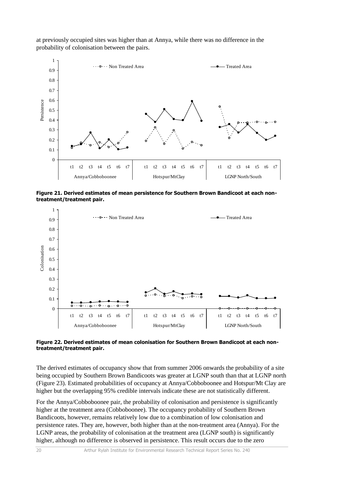at previously occupied sites was higher than at Annya, while there was no difference in the probability of colonisation between the pairs.



**Figure 21. Derived estimates of mean persistence for Southern Brown Bandicoot at each nontreatment/treatment pair.**



#### **Figure 22. Derived estimates of mean colonisation for Southern Brown Bandicoot at each nontreatment/treatment pair.**

The derived estimates of occupancy show that from summer 2006 onwards the probability of a site being occupied by Southern Brown Bandicoots was greater at LGNP south than that at LGNP north (Figure 23). Estimated probabilities of occupancy at Annya/Cobboboonee and Hotspur/Mt Clay are higher but the overlapping 95% credible intervals indicate these are not statistically different.

For the Annya/Cobboboonee pair, the probability of colonisation and persistence is significantly higher at the treatment area (Cobboboonee). The occupancy probability of Southern Brown Bandicoots, however, remains relatively low due to a combination of low colonisation and persistence rates. They are, however, both higher than at the non-treatment area (Annya). For the LGNP areas, the probability of colonisation at the treatment area (LGNP south) is significantly higher, although no difference is observed in persistence. This result occurs due to the zero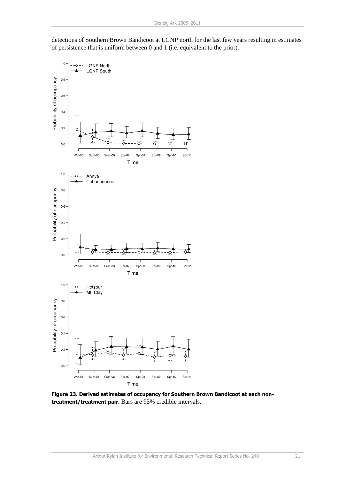detections of Southern Brown Bandicoot at LGNP north for the last few years resulting in estimates of persistence that is uniform between 0 and 1 (i.e. equivalent to the prior).



**Figure 23. Derived estimates of occupancy for Southern Brown Bandicoot at each nontreatment/treatment pair.** Bars are 95% credible intervals.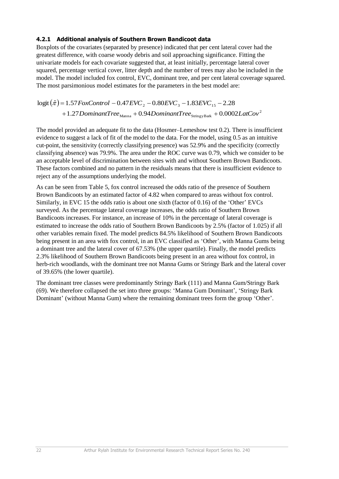#### <span id="page-27-0"></span>**4.2.1 Additional analysis of Southern Brown Bandicoot data**

Boxplots of the covariates (separated by presence) indicated that per cent lateral cover had the greatest difference, with coarse woody debris and soil approaching significance. Fitting the univariate models for each covariate suggested that, at least initially, percentage lateral cover squared, percentage vertical cover, litter depth and the number of trees may also be included in the model. The model included fox control, EVC, dominant tree, and per cent lateral coverage squared. The most parsimonious model estimates for the parameters in the best model are:

$$
logit(\hat{\pi}) = 1.57 \text{ FoxControl} - 0.47 \text{EVC}_2 - 0.80 \text{EVC}_3 - 1.83 \text{EVC}_{15} - 2.28
$$

$$
+ 1.27 \text{Domain} \text{Tree}_{\text{Manna}} + 0.94 \text{Domain} \text{Tree}_{\text{StringyBatk}} + 0.0002 \text{LatCov}^2
$$

The model provided an adequate fit to the data (Hosmer–Lemeshow test 0.2). There is insufficient evidence to suggest a lack of fit of the model to the data. For the model, using 0.5 as an intuitive cut-point, the sensitivity (correctly classifying presence) was 52.9% and the specificity (correctly classifying absence) was 79.9%. The area under the ROC curve was 0.79, which we consider to be an acceptable level of discrimination between sites with and without Southern Brown Bandicoots. These factors combined and no pattern in the residuals means that there is insufficient evidence to reject any of the assumptions underlying the model.

As can be seen from Table 5, fox control increased the odds ratio of the presence of Southern Brown Bandicoots by an estimated factor of 4.82 when compared to areas without fox control. Similarly, in EVC 15 the odds ratio is about one sixth (factor of 0.16) of the 'Other' EVCs surveyed. As the percentage lateral coverage increases, the odds ratio of Southern Brown Bandicoots increases. For instance, an increase of 10% in the percentage of lateral coverage is estimated to increase the odds ratio of Southern Brown Bandicoots by 2.5% (factor of 1.025) if all other variables remain fixed. The model predicts 84.5% likelihood of Southern Brown Bandicoots being present in an area with fox control, in an EVC classified as 'Other', with Manna Gums being a dominant tree and the lateral cover of 67.53% (the upper quartile). Finally, the model predicts 2.3% likelihood of Southern Brown Bandicoots being present in an area without fox control, in herb-rich woodlands, with the dominant tree not Manna Gums or Stringy Bark and the lateral cover of 39.65% (the lower quartile).

The dominant tree classes were predominantly Stringy Bark (111) and Manna Gum/Stringy Bark (69). We therefore collapsed the set into three groups: 'Manna Gum Dominant', 'Stringy Bark Dominant' (without Manna Gum) where the remaining dominant trees form the group 'Other'.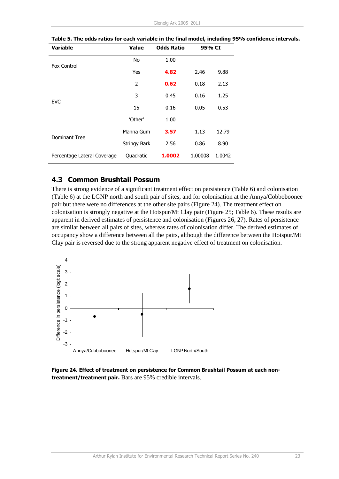| <b>Variable</b>             | <b>Value</b>        | <b>Odds Ratio</b> | 95% CI  |        |  |
|-----------------------------|---------------------|-------------------|---------|--------|--|
| Fox Control                 | No                  | 1.00              |         |        |  |
|                             | Yes                 | 4.82              | 2.46    | 9.88   |  |
|                             | 2                   | 0.62              | 0.18    | 2.13   |  |
| <b>EVC</b>                  | 3                   | 0.45              | 0.16    | 1.25   |  |
|                             | 15                  | 0.16              | 0.05    | 0.53   |  |
|                             | 'Other'             | 1.00              |         |        |  |
| <b>Dominant Tree</b>        | Manna Gum           | 3.57              | 1.13    | 12.79  |  |
|                             | <b>Stringy Bark</b> | 2.56              | 0.86    | 8.90   |  |
| Percentage Lateral Coverage | Quadratic           | 1.0002            | 1.00008 | 1.0042 |  |

**Table 5. The odds ratios for each variable in the final model, including 95% confidence intervals.**

#### <span id="page-28-0"></span>**4.3 Common Brushtail Possum**

There is strong evidence of a significant treatment effect on persistence (Table 6) and colonisation (Table 6) at the LGNP north and south pair of sites, and for colonisation at the Annya/Cobboboonee pair but there were no differences at the other site pairs (Figure 24). The treatment effect on colonisation is strongly negative at the Hotspur/Mt Clay pair (Figure 25; Table 6). These results are apparent in derived estimates of persistence and colonisation (Figures 26, 27). Rates of persistence are similar between all pairs of sites, whereas rates of colonisation differ. The derived estimates of occupancy show a difference between all the pairs, although the difference between the Hotspur/Mt Clay pair is reversed due to the strong apparent negative effect of treatment on colonisation.



**Figure 24. Effect of treatment on persistence for Common Brushtail Possum at each nontreatment/treatment pair.** Bars are 95% credible intervals.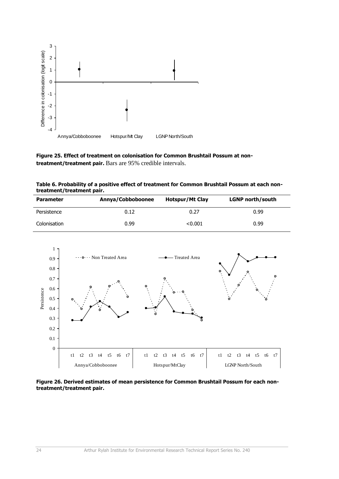

**Figure 25. Effect of treatment on colonisation for Common Brushtail Possum at nontreatment/treatment pair.** Bars are 95% credible intervals.

| Table 6. Probability of a positive effect of treatment for Common Brushtail Possum at each non- |  |
|-------------------------------------------------------------------------------------------------|--|
| treatment/treatment pair.                                                                       |  |

| <b>Parameter</b> | Annya/Cobboboonee | <b>Hotspur/Mt Clay</b> | <b>LGNP</b> north/south |
|------------------|-------------------|------------------------|-------------------------|
| Persistence      | 0.12              | 0.27                   | 0.99                    |
| Colonisation     | 0.99              | < 0.001                | 0.99                    |



**Figure 26. Derived estimates of mean persistence for Common Brushtail Possum for each nontreatment/treatment pair.**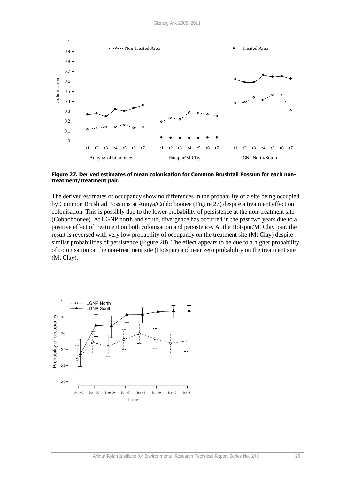

**Figure 27. Derived estimates of mean colonisation for Common Brushtail Possum for each nontreatment/treatment pair.**

The derived estimates of occupancy show no differences in the probability of a site being occupied by Common Brushtail Possums at Annya/Cobboboonee (Figure 27) despite a treatment effect on colonisation. This is possibly due to the lower probability of persistence at the non-treatment site (Cobboboonee). At LGNP north and south, divergence has occurred in the past two years due to a positive effect of treatment on both colonisation and persistence. At the Hotspur/Mt Clay pair, the result is reversed with very low probability of occupancy on the treatment site (Mt Clay) despite similar probabilities of persistence (Figure 28). The effect appears to be due to a higher probability of colonisation on the non-treatment site (Hotspur) and near zero probability on the treatment site (Mt Clay).

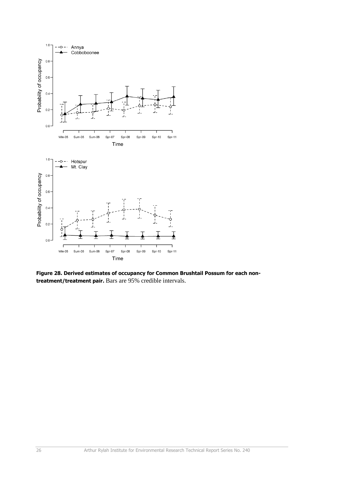

**Figure 28. Derived estimates of occupancy for Common Brushtail Possum for each nontreatment/treatment pair.** Bars are 95% credible intervals.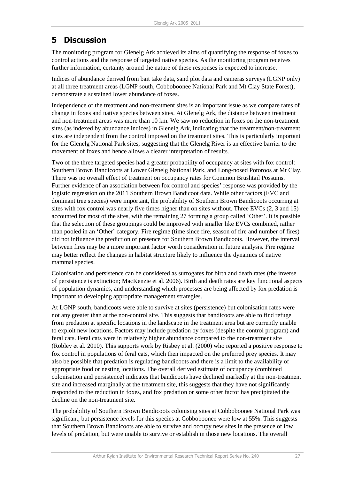## <span id="page-32-0"></span>**5 Discussion**

The monitoring program for Glenelg Ark achieved its aims of quantifying the response of foxes to control actions and the response of targeted native species. As the monitoring program receives further information, certainty around the nature of these responses is expected to increase.

Indices of abundance derived from bait take data, sand plot data and cameras surveys (LGNP only) at all three treatment areas (LGNP south, Cobboboonee National Park and Mt Clay State Forest), demonstrate a sustained lower abundance of foxes.

Independence of the treatment and non-treatment sites is an important issue as we compare rates of change in foxes and native species between sites. At Glenelg Ark, the distance between treatment and non-treatment areas was more than 10 km. We saw no reduction in foxes on the non-treatment sites (as indexed by abundance indices) in Glenelg Ark, indicating that the treatment/non-treatment sites are independent from the control imposed on the treatment sites. This is particularly important for the Glenelg National Park sites, suggesting that the Glenelg River is an effective barrier to the movement of foxes and hence allows a clearer interpretation of results.

Two of the three targeted species had a greater probability of occupancy at sites with fox control: Southern Brown Bandicoots at Lower Glenelg National Park, and Long-nosed Potoroos at Mt Clay. There was no overall effect of treatment on occupancy rates for Common Brushtail Possums. Further evidence of an association between fox control and species' response was provided by the logistic regression on the 2011 Southern Brown Bandicoot data. While other factors (EVC and dominant tree species) were important, the probability of Southern Brown Bandicoots occurring at sites with fox control was nearly five times higher than on sites without. Three EVCs (2, 3 and 15) accounted for most of the sites, with the remaining 27 forming a group called 'Other'. It is possible that the selection of these groupings could be improved with smaller like EVCs combined, rather than pooled in an 'Other' category. Fire regime (time since fire, season of fire and number of fires) did not influence the prediction of presence for Southern Brown Bandicoots. However, the interval between fires may be a more important factor worth consideration in future analysis. Fire regime may better reflect the changes in habitat structure likely to influence the dynamics of native mammal species.

Colonisation and persistence can be considered as surrogates for birth and death rates (the inverse of persistence is extinction; MacKenzie et al. 2006). Birth and death rates are key functional aspects of population dynamics, and understanding which processes are being affected by fox predation is important to developing appropriate management strategies.

At LGNP south, bandicoots were able to survive at sites (persistence) but colonisation rates were not any greater than at the non-control site. This suggests that bandicoots are able to find refuge from predation at specific locations in the landscape in the treatment area but are currently unable to exploit new locations. Factors may include predation by foxes (despite the control program) and feral cats. Feral cats were in relatively higher abundance compared to the non-treatment site (Robley et al. 2010). This supports work by Risbey et al. (2000) who reported a positive response to fox control in populations of feral cats, which then impacted on the preferred prey species. It may also be possible that predation is regulating bandicoots and there is a limit to the availability of appropriate food or nesting locations. The overall derived estimate of occupancy (combined colonisation and persistence) indicates that bandicoots have declined markedly at the non-treatment site and increased marginally at the treatment site, this suggests that they have not significantly responded to the reduction in foxes, and fox predation or some other factor has precipitated the decline on the non-treatment site.

The probability of Southern Brown Bandicoots colonising sites at Cobboboonee National Park was significant, but persistence levels for this species at Cobboboonee were low at 55%. This suggests that Southern Brown Bandicoots are able to survive and occupy new sites in the presence of low levels of predation, but were unable to survive or establish in those new locations. The overall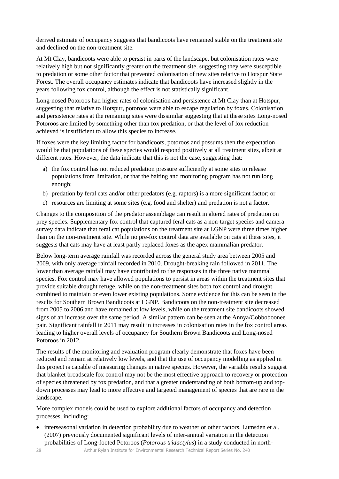derived estimate of occupancy suggests that bandicoots have remained stable on the treatment site and declined on the non-treatment site.

At Mt Clay, bandicoots were able to persist in parts of the landscape, but colonisation rates were relatively high but not significantly greater on the treatment site, suggesting they were susceptible to predation or some other factor that prevented colonisation of new sites relative to Hotspur State Forest. The overall occupancy estimates indicate that bandicoots have increased slightly in the years following fox control, although the effect is not statistically significant.

Long-nosed Potoroos had higher rates of colonisation and persistence at Mt Clay than at Hotspur, suggesting that relative to Hotspur, potoroos were able to escape regulation by foxes. Colonisation and persistence rates at the remaining sites were dissimilar suggesting that at these sites Long-nosed Potoroos are limited by something other than fox predation, or that the level of fox reduction achieved is insufficient to allow this species to increase.

If foxes were the key limiting factor for bandicoots, potoroos and possums then the expectation would be that populations of these species would respond positively at all treatment sites, albeit at different rates. However, the data indicate that this is not the case, suggesting that:

- a) the fox control has not reduced predation pressure sufficiently at some sites to release populations from limitation, or that the baiting and monitoring program has not run long enough;
- b) predation by feral cats and/or other predators (e.g. raptors) is a more significant factor; or
- c) resources are limiting at some sites (e.g. food and shelter) and predation is not a factor.

Changes to the composition of the predator assemblage can result in altered rates of predation on prey species. Supplementary fox control that captured feral cats as a non-target species and camera survey data indicate that feral cat populations on the treatment site at LGNP were three times higher than on the non-treatment site. While no pre-fox control data are available on cats at these sites, it suggests that cats may have at least partly replaced foxes as the apex mammalian predator.

Below long-term average rainfall was recorded across the general study area between 2005 and 2009, with only average rainfall recorded in 2010. Drought-breaking rain followed in 2011. The lower than average rainfall may have contributed to the responses in the three native mammal species. Fox control may have allowed populations to persist in areas within the treatment sites that provide suitable drought refuge, while on the non-treatment sites both fox control and drought combined to maintain or even lower existing populations. Some evidence for this can be seen in the results for Southern Brown Bandicoots at LGNP. Bandicoots on the non-treatment site decreased from 2005 to 2006 and have remained at low levels, while on the treatment site bandicoots showed signs of an increase over the same period. A similar pattern can be seen at the Annya/Cobboboonee pair. Significant rainfall in 2011 may result in increases in colonisation rates in the fox control areas leading to higher overall levels of occupancy for Southern Brown Bandicoots and Long-nosed Potoroos in 2012.

The results of the monitoring and evaluation program clearly demonstrate that foxes have been reduced and remain at relatively low levels, and that the use of occupancy modelling as applied in this project is capable of measuring changes in native species. However, the variable results suggest that blanket broadscale fox control may not be the most effective approach to recovery or protection of species threatened by fox predation, and that a greater understanding of both bottom-up and topdown processes may lead to more effective and targeted management of species that are rare in the landscape.

More complex models could be used to explore additional factors of occupancy and detection processes, including:

• interseasonal variation in detection probability due to weather or other factors. Lumsden et al. (2007) previously documented significant levels of inter-annual variation in the detection probabilities of Long-footed Potoroos (*Potorous tridactylus*) in a study conducted in north-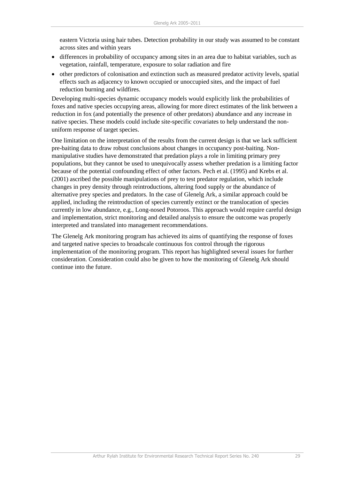eastern Victoria using hair tubes. Detection probability in our study was assumed to be constant across sites and within years

- differences in probability of occupancy among sites in an area due to habitat variables, such as vegetation, rainfall, temperature, exposure to solar radiation and fire
- other predictors of colonisation and extinction such as measured predator activity levels, spatial effects such as adjacency to known occupied or unoccupied sites, and the impact of fuel reduction burning and wildfires.

Developing multi-species dynamic occupancy models would explicitly link the probabilities of foxes and native species occupying areas, allowing for more direct estimates of the link between a reduction in fox (and potentially the presence of other predators) abundance and any increase in native species. These models could include site-specific covariates to help understand the nonuniform response of target species.

One limitation on the interpretation of the results from the current design is that we lack sufficient pre-baiting data to draw robust conclusions about changes in occupancy post-baiting. Nonmanipulative studies have demonstrated that predation plays a role in limiting primary prey populations, but they cannot be used to unequivocally assess whether predation is a limiting factor because of the potential confounding effect of other factors. Pech et al. (1995) and Krebs et al. (2001) ascribed the possible manipulations of prey to test predator regulation, which include changes in prey density through reintroductions, altering food supply or the abundance of alternative prey species and predators. In the case of Glenelg Ark, a similar approach could be applied, including the reintroduction of species currently extinct or the translocation of species currently in low abundance, e.g., Long-nosed Potoroos. This approach would require careful design and implementation, strict monitoring and detailed analysis to ensure the outcome was properly interpreted and translated into management recommendations.

The Glenelg Ark monitoring program has achieved its aims of quantifying the response of foxes and targeted native species to broadscale continuous fox control through the rigorous implementation of the monitoring program. This report has highlighted several issues for further consideration. Consideration could also be given to how the monitoring of Glenelg Ark should continue into the future.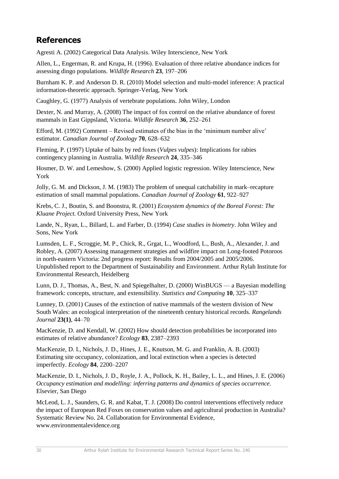## <span id="page-35-0"></span>**References**

Agresti A. (2002) Categorical Data Analysis. Wiley Interscience, New York

Allen, L., Engerman, R. and Krupa, H. (1996). Evaluation of three relative abundance indices for assessing dingo populations. *Wildlife Research* **23**, 197–206

Burnham K. P. and Anderson D. R. (2010) Model selection and multi-model inference: A practical information-theoretic approach. Springer-Verlag, New York

Caughley, G. (1977) Analysis of vertebrate populations*.* John Wiley, London

Dexter, N. and Murray, A. (2008) The impact of fox control on the relative abundance of forest mammals in East Gippsland, Victoria. *Wildlife Research* **36**, 252–261

Efford, M. (1992) Comment – Revised estimates of the bias in the 'minimum number alive' estimator. *Canadian Journal of Zoology* **70**, 628–632

Fleming, P. (1997) Uptake of baits by red foxes (*Vulpes vulpes*): Implications for rabies contingency planning in Australia. *Wildlife Research* **24**, 335–346

Hosmer, D. W. and Lemeshow, S. (2000) Applied logistic regression. Wiley Interscience, New York

Jolly, G. M. and Dickson, J. M. (1983) The problem of unequal catchability in mark–recapture estimation of small mammal populations. *Canadian Journal of Zoology* **61**, 922–927

Krebs, C. J., Boutin, S. and Boonstra, R. (2001) *Ecosystem dynamics of the Boreal Forest: The Kluane Project.* Oxford University Press, New York

Lande, N., Ryan, L., Billard, L. and Farber, D. (1994) *Case studies in biometry*. John Wiley and Sons, New York

Lumsden, L. F., Scroggie, M. P., Chick, R., Grgat, L., Woodford, L., Bush, A., Alexander, J. and Robley, A. (2007) Assessing management strategies and wildfire impact on Long-footed Potoroos in north-eastern Victoria: 2nd progress report: Results from 2004/2005 and 2005/2006. Unpublished report to the Department of Sustainability and Environment. Arthur Rylah Institute for Environmental Research, Heidelberg

Lunn, D. J., Thomas, A., Best, N. and Spiegelhalter, D. (2000) WinBUGS — a Bayesian modelling framework: concepts, structure, and extensibility. *Statistics and Computing* **10**, 325–337

Lunney, D. (2001) Causes of the extinction of native mammals of the western division of New South Wales: an ecological interpretation of the nineteenth century historical records. *Rangelands Journal* **23(1)**, 44–70

MacKenzie, D. and Kendall, W. (2002) How should detection probabilities be incorporated into estimates of relative abundance? *Ecology* **83**, 2387–2393

MacKenzie, D. I., Nichols, J. D., Hines, J. E., Knutson, M. G. and Franklin, A. B. (2003) Estimating site occupancy, colonization, and local extinction when a species is detected imperfectly. *Ecology* **84**, 2200–2207

MacKenzie, D. I., Nichols, J. D., Royle, J. A., Pollock, K. H., Bailey, L. L., and Hines, J. E. (2006) *Occupancy estimation and modelling: inferring patterns and dynamics of species occurrence.* Elsevier, San Diego

McLeod, L. J., Saunders, G. R. and Kabat, T. J. (2008) Do control interventions effectively reduce the impact of European Red Foxes on conservation values and agricultural production in Australia? Systematic Review No. 24. Collaboration for Environmental Evidence, www.environmentalevidence.org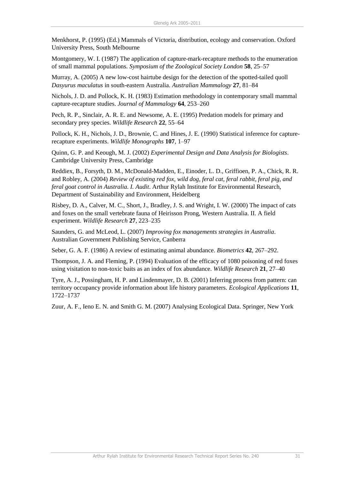Menkhorst, P. (1995) (Ed.) Mammals of Victoria, distribution, ecology and conservation. Oxford University Press, South Melbourne

Montgomery, W. I. (1987) The application of capture-mark-recapture methods to the enumeration of small mammal populations. *Symposium of the Zoological Society London* **58**, 25–57

Murray, A. (2005) A new low-cost hairtube design for the detection of the spotted-tailed quoll *Dasyurus maculatus* in south-eastern Australia. *Australian Mammalogy* **27**, 81–84

Nichols, J. D. and Pollock, K. H. (1983) Estimation methodology in contemporary small mammal capture-recapture studies. *Journal of Mammalogy* **64**, 253–260

Pech, R. P., Sinclair, A. R. E. and Newsome, A. E. (1995) Predation models for primary and secondary prey species. *Wildlife Research* **22**, 55–64

Pollock, K. H., Nichols, J. D., Brownie, C. and Hines, J. E. (1990) Statistical inference for capturerecapture experiments. *Wildlife Monographs* **107**, 1–97

Quinn, G. P. and Keough, M. J. (2002) *Experimental Design and Data Analysis for Biologists*. Cambridge University Press, Cambridge

Reddiex, B., Forsyth, D. M., McDonald-Madden, E., Einoder, L. D., Griffioen, P. A., Chick, R. R. and Robley, A. (2004) *Review of existing red fox, wild dog, feral cat, feral rabbit, feral pig, and feral goat control in Australia. I. Audit*. Arthur Rylah Institute for Environmental Research, Department of Sustainability and Environment, Heidelberg

Risbey, D. A., Calver, M. C., Short, J., Bradley, J. S. and Wright, I. W. (2000) The impact of cats and foxes on the small vertebrate fauna of Heirisson Prong, Western Australia. II. A field experiment. *Wildlife Research* **27**, 223–235

Saunders, G. and McLeod, L. (2007) *Improving fox managements strategies in Australia*. Australian Government Publishing Service, Canberra

Seber, G. A. F. (1986) A review of estimating animal abundance. *Biometrics* **42**, 267–292.

Thompson, J. A. and Fleming, P. (1994) Evaluation of the efficacy of 1080 poisoning of red foxes using visitation to non-toxic baits as an index of fox abundance. *Wildlife Research* **21**, 27–40

Tyre, A. J., Possingham, H. P. and Lindenmayer, D. B. (2001) Inferring process from pattern: can territory occupancy provide information about life history parameters. *Ecological Applications* **11**, 1722–1737

Zuur, A. F., Ieno E. N. and Smith G. M. (2007) Analysing Ecological Data. Springer, New York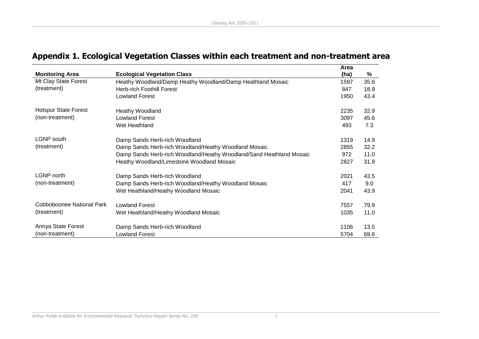<span id="page-37-0"></span>

|                             |                                                                     | Area |      |
|-----------------------------|---------------------------------------------------------------------|------|------|
| <b>Monitoring Area</b>      | <b>Ecological Vegetation Class</b>                                  | (ha) | $\%$ |
| Mt Clay State Forest        | Heathy Woodland/Damp Heathy Woodland/Damp Heathland Mosaic          | 1597 | 35.6 |
| (treatment)                 | <b>Herb-rich Foothill Forest</b>                                    | 847  | 18.9 |
|                             | <b>Lowland Forest</b>                                               | 1950 | 43.4 |
| <b>Hotspur State Forest</b> | Heathy Woodland                                                     | 2235 | 32.9 |
| (non-treatment)             | <b>Lowland Forest</b>                                               | 3097 | 45.6 |
|                             | Wet Heathland                                                       | 493  | 7.3  |
| <b>LGNP</b> south           | Damp Sands Herb-rich Woodland                                       | 1319 | 14.9 |
| (treatment)                 | Damp Sands Herb-rich Woodland/Heathy Woodland Mosaic                | 2855 | 32.2 |
|                             | Damp Sands Herb-rich Woodland/Heathy Woodland/Sand Heathland Mosaic | 972  | 11.0 |
|                             | Heathy Woodland/Limestone Woodland Mosaic                           | 2827 | 31.9 |
| <b>LGNP</b> north           | Damp Sands Herb-rich Woodland                                       | 2021 | 43.5 |
| (non-treatment)             | Damp Sands Herb-rich Woodland/Heathy Woodland Mosaic                | 417  | 9.0  |
|                             | Wet Heathland/Heathy Woodland Mosaic                                | 2041 | 43.9 |
| Cobboboonee National Park   | <b>Lowland Forest</b>                                               | 7557 | 79.9 |
| (treatment)                 | Wet Heathland/Heathy Woodland Mosaic                                | 1035 | 11.0 |
| Annya State Forest          | Damp Sands Herb-rich Woodland                                       | 1106 | 13.5 |
| (non-treatment)             | <b>Lowland Forest</b>                                               | 5704 | 69.8 |

## **Appendix 1. Ecological Vegetation Classes within each treatment and non-treatment area**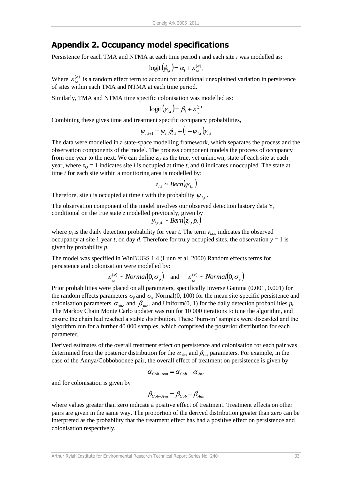## <span id="page-38-0"></span>**Appendix 2. Occupancy model specifications**

Persistence for each TMA and NTMA at each time period *t* and each site *i* was modelled as:

$$
\text{logit}(\phi_{i,t}) = \alpha_i + \varepsilon_{i,t}^{(\phi)}
$$

,

Where  $\varepsilon_{i,j}^{(\phi)}$  is a random effect term to account for additional unexplained variation in persistence of sites within each TMA and NTMA at each time period.

Similarly, TMA and NTMA time specific colonisation was modelled as:

$$
\text{logit}\left(\gamma_{i,t}\right) = \beta_i + \varepsilon_{i,t}^{(\gamma)}
$$

Combining these gives time and treatment specific occupancy probabilities,

$$
\psi_{i,t+1} = \psi_{i,t} \phi_{i,t} + (1 - \psi_{i,t}) \gamma_{i,t}
$$

The data were modelled in a state-space modelling framework, which separates the process and the observation components of the model. The process component models the process of occupancy from one year to the next. We can define  $z_{i,t}$  as the true, yet unknown, state of each site at each year, where  $z_{i,t} = 1$  indicates site *i* is occupied at time *t*, and 0 indicates unoccupied. The state at time *t* for each site within a monitoring area is modelled by:

$$
z_{i,t} \sim Bern(\psi_{i,t})
$$

Therefore, site *i* is occupied at time *t* with the probability  $\psi_{i,t}$ .

The observation component of the model involves our observed detection history data Y, conditional on the true state *z* modelled previously, given by

$$
y_{i,t,d} \sim Bern(z_{i,t} p_t)
$$

where  $p_t$  is the daily detection probability for year *t*. The term  $y_{i,t,d}$  indicates the observed occupancy at site *i*, year *t*, on day *d*. Therefore for truly occupied sites, the observation  $y = 1$  is given by probability *p*.

The model was specified in WinBUGS 1.4 (Lunn et al. 2000) Random effects terms for persistence and colonisation were modelled by:

$$
\varepsilon_{i,t}^{(\phi)} \sim Normal(0, \sigma_{\phi})
$$
 and  $\varepsilon_{i,t}^{(\gamma)} \sim Normal(0, \sigma_{\gamma})$ 

Prior probabilities were placed on all parameters, specifically Inverse Gamma (0.001, 0.001) for the random effects parameters  $\sigma_{\phi}$  and  $\sigma_{\gamma}$ , Normal(0, 100) for the mean site-specific persistence and colonisation parameters  $\alpha_{\text{site}}$  and  $\beta_{\text{site}}$ , and Uniform(0, 1) for the daily detection probabilities  $p_t$ . The Markov Chain Monte Carlo updater was run for 10 000 iterations to tune the algorithm, and ensure the chain had reached a stable distribution. These 'burn-in' samples were discarded and the algorithm run for a further 40 000 samples, which comprised the posterior distribution for each parameter.

Derived estimates of the overall treatment effect on persistence and colonisation for each pair was determined from the posterior distribution for the  $\alpha_{\text{site}}$  and  $\beta_{\text{site}}$  parameters. For example, in the case of the Annya/Cobboboonee pair, the overall effect of treatment on persistence is given by

$$
\alpha_{Cob-Ann} = \alpha_{Cob} - \alpha_{Ann}
$$

and for colonisation is given by

$$
\beta_{Cob-Ann} = \beta_{Cob} - \beta_{Ann}
$$

where values greater than zero indicate a positive effect of treatment. Treatment effects on other pairs are given in the same way. The proportion of the derived distribution greater than zero can be interpreted as the probability that the treatment effect has had a positive effect on persistence and colonisation respectively.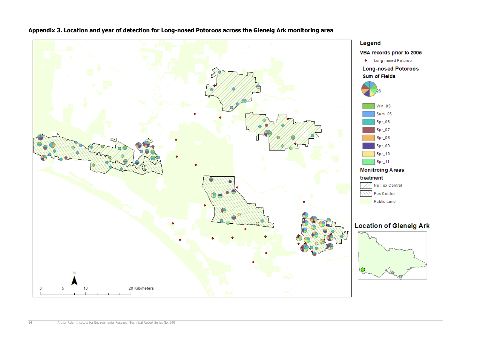

| Win_05   |
|----------|
| Sum_05   |
| $Spr_06$ |
| $Spr_07$ |
| $Spr_08$ |
|          |

- -







<span id="page-39-0"></span>**Appendix 3. Location and year of detection for Long-nosed Potoroos across the Glenelg Ark monitoring area**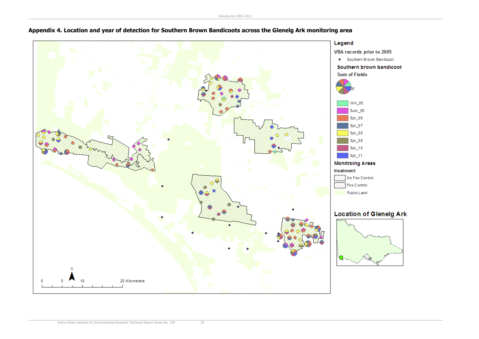

## <span id="page-40-0"></span>**Appendix 4. Location and year of detection for Southern Brown Bandicoots across the Glenelg Ark monitoring area**

• Southern Brown Bandicoot

## Southern brown bandicoot

- 
- 
- 
- 
- 
- 
- 
- 
- 
- 
- 

## **Location of Glenelg Ark**